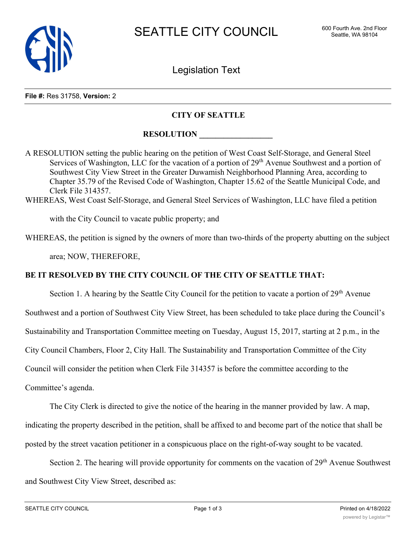

Legislation Text

## **File #:** Res 31758, **Version:** 2

## **CITY OF SEATTLE**

## **RESOLUTION**

A RESOLUTION setting the public hearing on the petition of West Coast Self-Storage, and General Steel Services of Washington, LLC for the vacation of a portion of 29<sup>th</sup> Avenue Southwest and a portion of Southwest City View Street in the Greater Duwamish Neighborhood Planning Area, according to Chapter 35.79 of the Revised Code of Washington, Chapter 15.62 of the Seattle Municipal Code, and Clerk File 314357.

WHEREAS, West Coast Self-Storage, and General Steel Services of Washington, LLC have filed a petition

with the City Council to vacate public property; and

WHEREAS, the petition is signed by the owners of more than two-thirds of the property abutting on the subject

area; NOW, THEREFORE,

## **BE IT RESOLVED BY THE CITY COUNCIL OF THE CITY OF SEATTLE THAT:**

Section 1. A hearing by the Seattle City Council for the petition to vacate a portion of  $29<sup>th</sup>$  Avenue Southwest and a portion of Southwest City View Street, has been scheduled to take place during the Council's Sustainability and Transportation Committee meeting on Tuesday, August 15, 2017, starting at 2 p.m., in the City Council Chambers, Floor 2, City Hall. The Sustainability and Transportation Committee of the City Council will consider the petition when Clerk File 314357 is before the committee according to the Committee's agenda.

The City Clerk is directed to give the notice of the hearing in the manner provided by law. A map, indicating the property described in the petition, shall be affixed to and become part of the notice that shall be posted by the street vacation petitioner in a conspicuous place on the right-of-way sought to be vacated.

Section 2. The hearing will provide opportunity for comments on the vacation of 29<sup>th</sup> Avenue Southwest and Southwest City View Street, described as: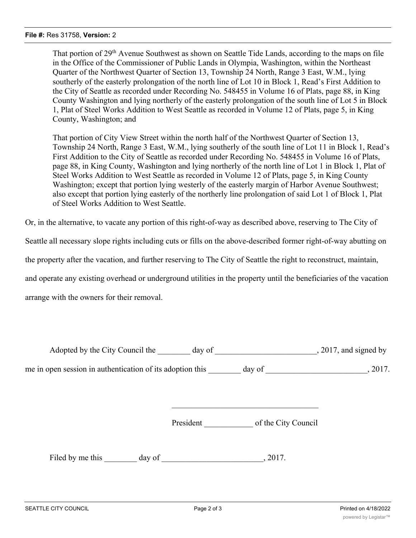That portion of 29<sup>th</sup> Avenue Southwest as shown on Seattle Tide Lands, according to the maps on file in the Office of the Commissioner of Public Lands in Olympia, Washington, within the Northeast Quarter of the Northwest Quarter of Section 13, Township 24 North, Range 3 East, W.M., lying southerly of the easterly prolongation of the north line of Lot 10 in Block 1, Read's First Addition to the City of Seattle as recorded under Recording No. 548455 in Volume 16 of Plats, page 88, in King County Washington and lying northerly of the easterly prolongation of the south line of Lot 5 in Block 1, Plat of Steel Works Addition to West Seattle as recorded in Volume 12 of Plats, page 5, in King County, Washington; and

That portion of City View Street within the north half of the Northwest Quarter of Section 13, Township 24 North, Range 3 East, W.M., lying southerly of the south line of Lot 11 in Block 1, Read's First Addition to the City of Seattle as recorded under Recording No. 548455 in Volume 16 of Plats, page 88, in King County, Washington and lying northerly of the north line of Lot 1 in Block 1, Plat of Steel Works Addition to West Seattle as recorded in Volume 12 of Plats, page 5, in King County Washington; except that portion lying westerly of the easterly margin of Harbor Avenue Southwest; also except that portion lying easterly of the northerly line prolongation of said Lot 1 of Block 1, Plat of Steel Works Addition to West Seattle.

Or, in the alternative, to vacate any portion of this right-of-way as described above, reserving to The City of

Seattle all necessary slope rights including cuts or fills on the above-described former right-of-way abutting on

the property after the vacation, and further reserving to The City of Seattle the right to reconstruct, maintain,

and operate any existing overhead or underground utilities in the property until the beneficiaries of the vacation

arrange with the owners for their removal.

| Adopted by the City Council the                           | day of |        | $, 2017$ , and signed by |
|-----------------------------------------------------------|--------|--------|--------------------------|
| me in open session in authentication of its adoption this |        | day of | 2017.                    |

President \_\_\_\_\_\_\_\_\_\_\_\_ of the City Council

Filed by me this day of  $\qquad \qquad$ , 2017.